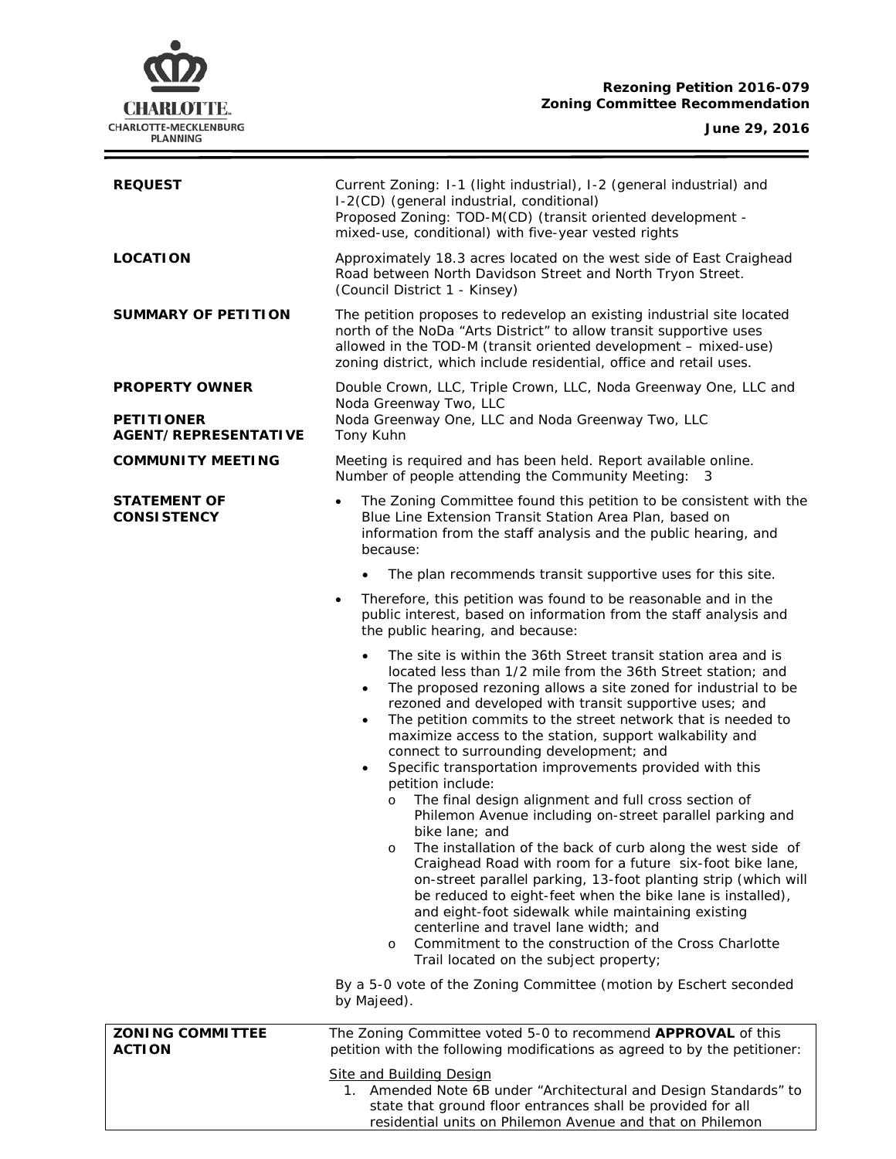# **CHARLOTTE.** CHARLOTTE-MECKLENBURG<br>PLANNING

Ξ

| <b>REQUEST</b>                            | Current Zoning: I-1 (light industrial), I-2 (general industrial) and<br>I-2(CD) (general industrial, conditional)<br>Proposed Zoning: TOD-M(CD) (transit oriented development -<br>mixed-use, conditional) with five-year vested rights                                                                                                                                                                                                                                                            |  |  |
|-------------------------------------------|----------------------------------------------------------------------------------------------------------------------------------------------------------------------------------------------------------------------------------------------------------------------------------------------------------------------------------------------------------------------------------------------------------------------------------------------------------------------------------------------------|--|--|
| <b>LOCATION</b>                           | Approximately 18.3 acres located on the west side of East Craighead<br>Road between North Davidson Street and North Tryon Street.<br>(Council District 1 - Kinsey)                                                                                                                                                                                                                                                                                                                                 |  |  |
| <b>SUMMARY OF PETITION</b>                | The petition proposes to redevelop an existing industrial site located<br>north of the NoDa "Arts District" to allow transit supportive uses<br>allowed in the TOD-M (transit oriented development - mixed-use)<br>zoning district, which include residential, office and retail uses.                                                                                                                                                                                                             |  |  |
| <b>PROPERTY OWNER</b>                     | Double Crown, LLC, Triple Crown, LLC, Noda Greenway One, LLC and<br>Noda Greenway Two, LLC                                                                                                                                                                                                                                                                                                                                                                                                         |  |  |
| <b>PETITIONER</b><br>AGENT/REPRESENTATIVE | Noda Greenway One, LLC and Noda Greenway Two, LLC<br>Tony Kuhn                                                                                                                                                                                                                                                                                                                                                                                                                                     |  |  |
| <b>COMMUNITY MEETING</b>                  | Meeting is required and has been held. Report available online.<br>Number of people attending the Community Meeting: 3                                                                                                                                                                                                                                                                                                                                                                             |  |  |
| <b>STATEMENT OF</b><br><b>CONSISTENCY</b> | The Zoning Committee found this petition to be consistent with the<br>$\bullet$<br>Blue Line Extension Transit Station Area Plan, based on<br>information from the staff analysis and the public hearing, and<br>because:                                                                                                                                                                                                                                                                          |  |  |
|                                           | The plan recommends transit supportive uses for this site.                                                                                                                                                                                                                                                                                                                                                                                                                                         |  |  |
|                                           | Therefore, this petition was found to be reasonable and in the<br>$\bullet$<br>public interest, based on information from the staff analysis and<br>the public hearing, and because:                                                                                                                                                                                                                                                                                                               |  |  |
|                                           | The site is within the 36th Street transit station area and is<br>$\bullet$<br>located less than 1/2 mile from the 36th Street station; and<br>The proposed rezoning allows a site zoned for industrial to be<br>$\bullet$<br>rezoned and developed with transit supportive uses; and<br>The petition commits to the street network that is needed to<br>$\bullet$<br>maximize access to the station, support walkability and<br>connect to surrounding development; and                           |  |  |
|                                           | Specific transportation improvements provided with this<br>$\bullet$<br>petition include:                                                                                                                                                                                                                                                                                                                                                                                                          |  |  |
|                                           | The final design alignment and full cross section of<br>$\circ$<br>Philemon Avenue including on-street parallel parking and                                                                                                                                                                                                                                                                                                                                                                        |  |  |
|                                           | bike lane; and<br>The installation of the back of curb along the west side of<br>$\circ$<br>Craighead Road with room for a future six-foot bike lane,<br>on-street parallel parking, 13-foot planting strip (which will<br>be reduced to eight-feet when the bike lane is installed),<br>and eight-foot sidewalk while maintaining existing<br>centerline and travel lane width; and<br>Commitment to the construction of the Cross Charlotte<br>$\circ$<br>Trail located on the subject property; |  |  |
|                                           | By a 5-0 vote of the Zoning Committee (motion by Eschert seconded<br>by Majeed).                                                                                                                                                                                                                                                                                                                                                                                                                   |  |  |
| <b>ZONING COMMITTEE</b><br><b>ACTION</b>  | The Zoning Committee voted 5-0 to recommend APPROVAL of this<br>petition with the following modifications as agreed to by the petitioner:                                                                                                                                                                                                                                                                                                                                                          |  |  |
|                                           | <b>Site and Building Design</b><br>1. Amended Note 6B under "Architectural and Design Standards" to<br>state that ground floor entrances shall be provided for all<br>residential units on Philemon Avenue and that on Philemon                                                                                                                                                                                                                                                                    |  |  |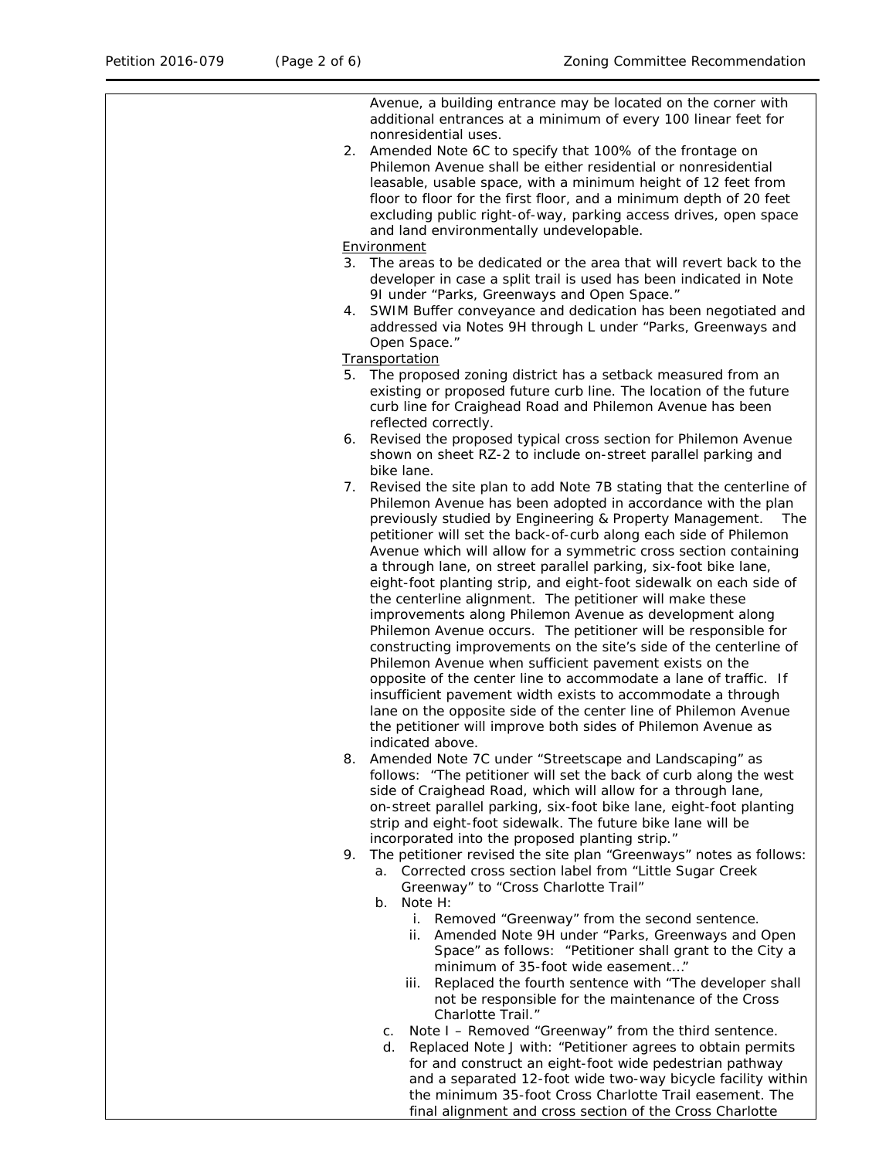Avenue, a building entrance may be located on the corner with additional entrances at a minimum of every 100 linear feet for nonresidential uses. 2. Amended Note 6C to specify that 100% of the frontage on Philemon Avenue shall be either residential or nonresidential leasable, usable space, with a minimum height of 12 feet from floor to floor for the first floor, and a minimum depth of 20 feet excluding public right-of-way, parking access drives, open space and land environmentally undevelopable. Environment 3. The areas to be dedicated or the area that will revert back to the developer in case a split trail is used has been indicated in Note 9I under "Parks, Greenways and Open Space." 4. SWIM Buffer conveyance and dedication has been negotiated and addressed via Notes 9H through L under "Parks, Greenways and Open Space." **Transportation** 5. The proposed zoning district has a setback measured from an existing or proposed future curb line. The location of the future curb line for Craighead Road and Philemon Avenue has been reflected correctly. 6. Revised the proposed typical cross section for Philemon Avenue shown on sheet RZ-2 to include on-street parallel parking and bike lane. 7. Revised the site plan to add Note 7B stating that the centerline of Philemon Avenue has been adopted in accordance with the plan<br>previously studied by Engineering & Property Management. The previously studied by Engineering & Property Management. petitioner will set the back-of-curb along each side of Philemon Avenue which will allow for a symmetric cross section containing a through lane, on street parallel parking, six-foot bike lane, eight-foot planting strip, and eight-foot sidewalk on each side of the centerline alignment. The petitioner will make these improvements along Philemon Avenue as development along Philemon Avenue occurs. The petitioner will be responsible for constructing improvements on the site's side of the centerline of Philemon Avenue when sufficient pavement exists on the opposite of the center line to accommodate a lane of traffic. If insufficient pavement width exists to accommodate a through lane on the opposite side of the center line of Philemon Avenue the petitioner will improve both sides of Philemon Avenue as indicated above. 8. Amended Note 7C under "Streetscape and Landscaping" as follows: "The petitioner will set the back of curb along the west side of Craighead Road, which will allow for a through lane, on-street parallel parking, six-foot bike lane, eight-foot planting strip and eight-foot sidewalk. The future bike lane will be incorporated into the proposed planting strip." 9. The petitioner revised the site plan "Greenways" notes as follows: a. Corrected cross section label from "Little Sugar Creek Greenway" to "Cross Charlotte Trail" b. Note H: i. Removed "Greenway" from the second sentence. ii. Amended Note 9H under "Parks, Greenways and Open Space" as follows: "Petitioner shall grant to the City a minimum of 35-foot wide easement…" iii. Replaced the fourth sentence with "The developer shall not be responsible for the maintenance of the Cross Charlotte Trail." c. Note I – Removed "Greenway" from the third sentence. d. Replaced Note J with: "Petitioner agrees to obtain permits for and construct an eight-foot wide pedestrian pathway and a separated 12-foot wide two-way bicycle facility within the minimum 35-foot Cross Charlotte Trail easement. The

final alignment and cross section of the Cross Charlotte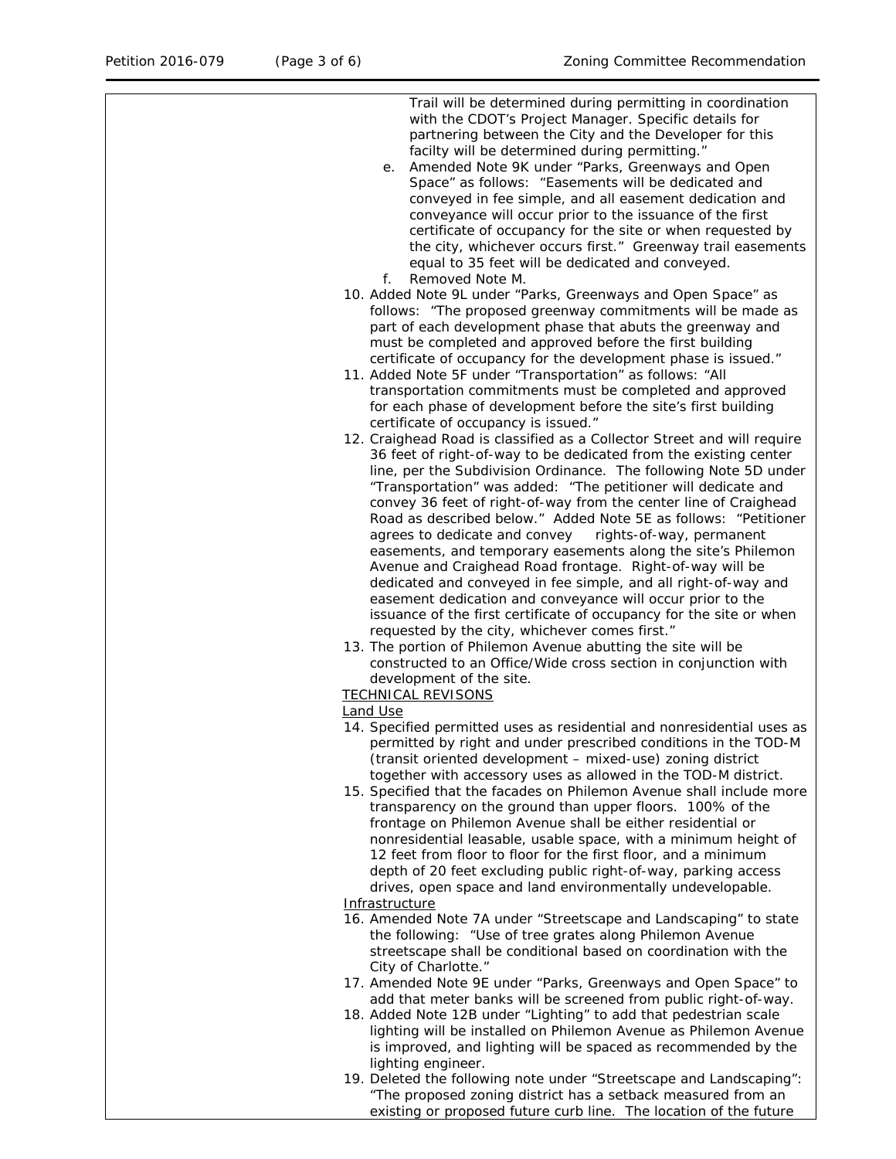Trail will be determined during permitting in coordination

with the CDOT's Project Manager. Specific details for partnering between the City and the Developer for this facilty will be determined during permitting." e. Amended Note 9K under "Parks, Greenways and Open Space" as follows: "Easements will be dedicated and conveyed in fee simple, and all easement dedication and conveyance will occur prior to the issuance of the first certificate of occupancy for the site or when requested by the city, whichever occurs first." Greenway trail easements equal to 35 feet will be dedicated and conveyed. f. Removed Note M. 10. Added Note 9L under "Parks, Greenways and Open Space" as follows: "The proposed greenway commitments will be made as part of each development phase that abuts the greenway and must be completed and approved before the first building certificate of occupancy for the development phase is issued." 11. Added Note 5F under "Transportation" as follows: "All transportation commitments must be completed and approved for each phase of development before the site's first building certificate of occupancy is issued." 12. Craighead Road is classified as a Collector Street and will require 36 feet of right-of-way to be dedicated from the existing center line, per the Subdivision Ordinance. The following Note 5D under "Transportation" was added: "The petitioner will dedicate and convey 36 feet of right-of-way from the center line of Craighead Road as described below." Added Note 5E as follows: "Petitioner agrees to dedicate and convey rights-of-way, permanent easements, and temporary easements along the site's Philemon Avenue and Craighead Road frontage. Right-of-way will be dedicated and conveyed in fee simple, and all right-of-way and easement dedication and conveyance will occur prior to the issuance of the first certificate of occupancy for the site or when requested by the city, whichever comes first." 13. The portion of Philemon Avenue abutting the site will be constructed to an Office/Wide cross section in conjunction with development of the site. TECHNICAL REVISONS Land Use 14. Specified permitted uses as residential and nonresidential uses as permitted by right and under prescribed conditions in the TOD-M (transit oriented development – mixed-use) zoning district together with accessory uses as allowed in the TOD-M district. 15. Specified that the facades on Philemon Avenue shall include more transparency on the ground than upper floors. 100% of the frontage on Philemon Avenue shall be either residential or nonresidential leasable, usable space, with a minimum height of 12 feet from floor to floor for the first floor, and a minimum depth of 20 feet excluding public right-of-way, parking access drives, open space and land environmentally undevelopable. **Infrastructure** 16. Amended Note 7A under "Streetscape and Landscaping" to state the following: "Use of tree grates along Philemon Avenue streetscape shall be conditional based on coordination with the City of Charlotte." 17. Amended Note 9E under "Parks, Greenways and Open Space" to add that meter banks will be screened from public right-of-way. 18. Added Note 12B under "Lighting" to add that pedestrian scale lighting will be installed on Philemon Avenue as Philemon Avenue is improved, and lighting will be spaced as recommended by the lighting engineer. 19. Deleted the following note under "Streetscape and Landscaping": "The proposed zoning district has a setback measured from an existing or proposed future curb line. The location of the future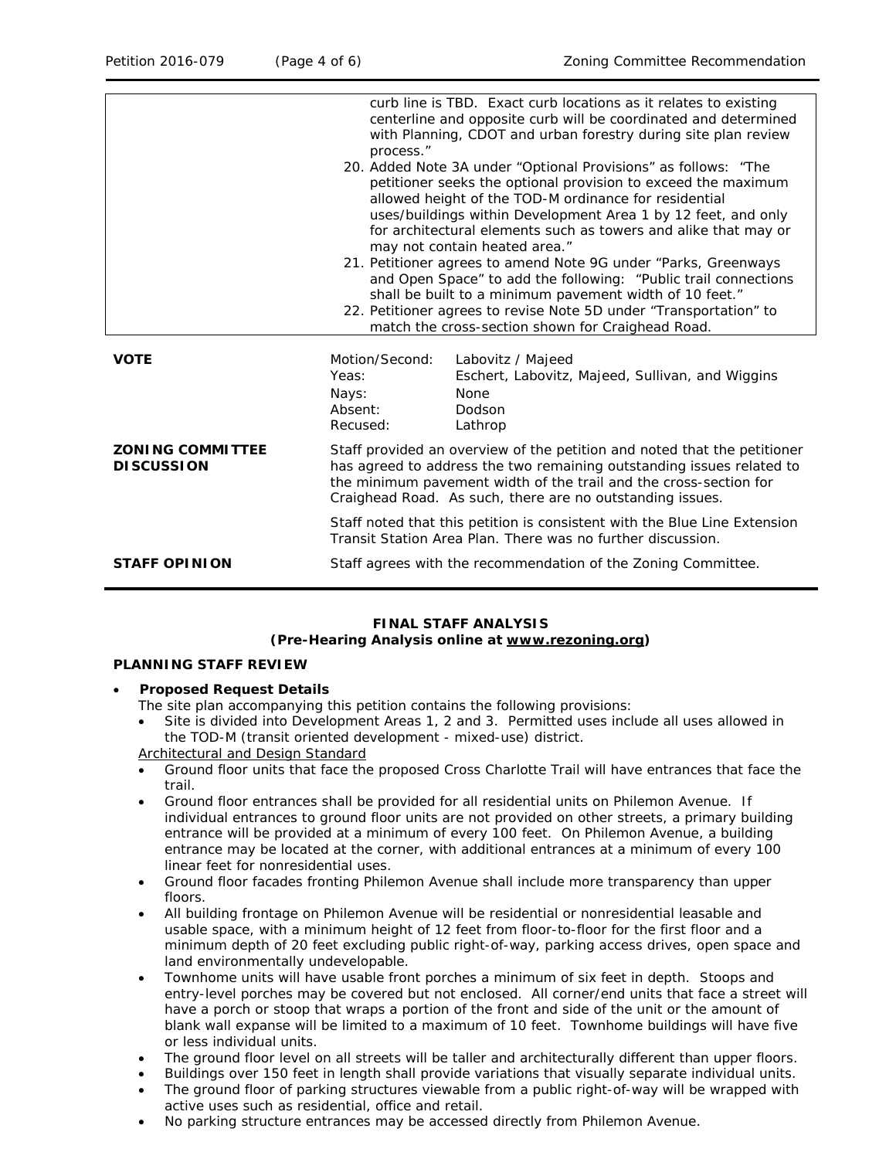|                                              | process."                                                                                                                                                                                                                                                                                                                                                        | curb line is TBD. Exact curb locations as it relates to existing<br>centerline and opposite curb will be coordinated and determined<br>with Planning, CDOT and urban forestry during site plan review<br>20. Added Note 3A under "Optional Provisions" as follows: "The<br>petitioner seeks the optional provision to exceed the maximum<br>allowed height of the TOD-M ordinance for residential<br>uses/buildings within Development Area 1 by 12 feet, and only<br>for architectural elements such as towers and alike that may or<br>may not contain heated area."<br>21. Petitioner agrees to amend Note 9G under "Parks, Greenways<br>and Open Space" to add the following: "Public trail connections<br>shall be built to a minimum pavement width of 10 feet."<br>22. Petitioner agrees to revise Note 5D under "Transportation" to<br>match the cross-section shown for Craighead Road. |  |
|----------------------------------------------|------------------------------------------------------------------------------------------------------------------------------------------------------------------------------------------------------------------------------------------------------------------------------------------------------------------------------------------------------------------|--------------------------------------------------------------------------------------------------------------------------------------------------------------------------------------------------------------------------------------------------------------------------------------------------------------------------------------------------------------------------------------------------------------------------------------------------------------------------------------------------------------------------------------------------------------------------------------------------------------------------------------------------------------------------------------------------------------------------------------------------------------------------------------------------------------------------------------------------------------------------------------------------|--|
| <b>VOTE</b>                                  | Motion/Second:<br>Yeas:<br>Nays:<br>Absent:<br>Recused:                                                                                                                                                                                                                                                                                                          | Labovitz / Majeed<br>Eschert, Labovitz, Majeed, Sullivan, and Wiggins<br>None<br>Dodson<br>Lathrop                                                                                                                                                                                                                                                                                                                                                                                                                                                                                                                                                                                                                                                                                                                                                                                               |  |
| <b>ZONING COMMITTEE</b><br><b>DISCUSSION</b> | Staff provided an overview of the petition and noted that the petitioner<br>has agreed to address the two remaining outstanding issues related to<br>the minimum pavement width of the trail and the cross-section for<br>Craighead Road. As such, there are no outstanding issues.<br>Staff noted that this petition is consistent with the Blue Line Extension |                                                                                                                                                                                                                                                                                                                                                                                                                                                                                                                                                                                                                                                                                                                                                                                                                                                                                                  |  |
| <b>STAFF OPINION</b>                         | Transit Station Area Plan. There was no further discussion.<br>Staff agrees with the recommendation of the Zoning Committee.                                                                                                                                                                                                                                     |                                                                                                                                                                                                                                                                                                                                                                                                                                                                                                                                                                                                                                                                                                                                                                                                                                                                                                  |  |

## **FINAL STAFF ANALYSIS (Pre-Hearing Analysis online at [www.rezoning.org\)](http://www.rezoning.org/)**

### **PLANNING STAFF REVIEW**

• **Proposed Request Details**

The site plan accompanying this petition contains the following provisions:

• Site is divided into Development Areas 1, 2 and 3. Permitted uses include all uses allowed in the TOD-M (transit oriented development - mixed-use) district.

Architectural and Design Standard

- Ground floor units that face the proposed Cross Charlotte Trail will have entrances that face the trail.
- Ground floor entrances shall be provided for all residential units on Philemon Avenue. If individual entrances to ground floor units are not provided on other streets, a primary building entrance will be provided at a minimum of every 100 feet. On Philemon Avenue, a building entrance may be located at the corner, with additional entrances at a minimum of every 100 linear feet for nonresidential uses.
- Ground floor facades fronting Philemon Avenue shall include more transparency than upper floors.
- All building frontage on Philemon Avenue will be residential or nonresidential leasable and usable space, with a minimum height of 12 feet from floor-to-floor for the first floor and a minimum depth of 20 feet excluding public right-of-way, parking access drives, open space and land environmentally undevelopable.
- Townhome units will have usable front porches a minimum of six feet in depth. Stoops and entry-level porches may be covered but not enclosed. All corner/end units that face a street will have a porch or stoop that wraps a portion of the front and side of the unit or the amount of blank wall expanse will be limited to a maximum of 10 feet. Townhome buildings will have five or less individual units.
- The ground floor level on all streets will be taller and architecturally different than upper floors.
- Buildings over 150 feet in length shall provide variations that visually separate individual units.
- The ground floor of parking structures viewable from a public right-of-way will be wrapped with active uses such as residential, office and retail.
- No parking structure entrances may be accessed directly from Philemon Avenue.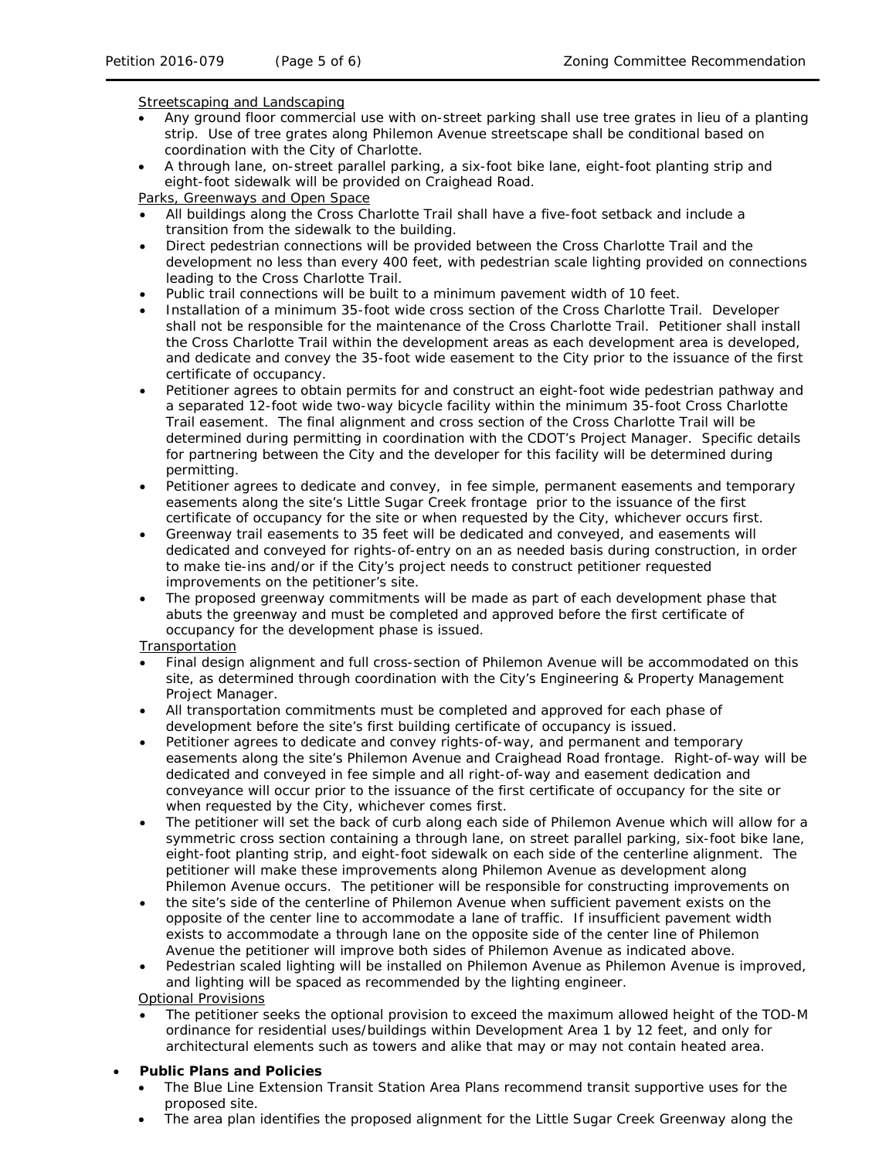## Streetscaping and Landscaping

- Any ground floor commercial use with on-street parking shall use tree grates in lieu of a planting strip. Use of tree grates along Philemon Avenue streetscape shall be conditional based on coordination with the City of Charlotte.
- A through lane, on-street parallel parking, a six-foot bike lane, eight-foot planting strip and eight-foot sidewalk will be provided on Craighead Road.

Parks, Greenways and Open Space

- All buildings along the Cross Charlotte Trail shall have a five-foot setback and include a transition from the sidewalk to the building.
- Direct pedestrian connections will be provided between the Cross Charlotte Trail and the development no less than every 400 feet, with pedestrian scale lighting provided on connections leading to the Cross Charlotte Trail.
- Public trail connections will be built to a minimum pavement width of 10 feet.
- Installation of a minimum 35-foot wide cross section of the Cross Charlotte Trail. Developer shall not be responsible for the maintenance of the Cross Charlotte Trail. Petitioner shall install the Cross Charlotte Trail within the development areas as each development area is developed, and dedicate and convey the 35-foot wide easement to the City prior to the issuance of the first certificate of occupancy.
- Petitioner agrees to obtain permits for and construct an eight-foot wide pedestrian pathway and a separated 12-foot wide two-way bicycle facility within the minimum 35-foot Cross Charlotte Trail easement. The final alignment and cross section of the Cross Charlotte Trail will be determined during permitting in coordination with the CDOT's Project Manager. Specific details for partnering between the City and the developer for this facility will be determined during permitting.
- Petitioner agrees to dedicate and convey, in fee simple, permanent easements and temporary easements along the site's Little Sugar Creek frontage prior to the issuance of the first certificate of occupancy for the site or when requested by the City, whichever occurs first.
- Greenway trail easements to 35 feet will be dedicated and conveyed, and easements will dedicated and conveyed for rights-of-entry on an as needed basis during construction, in order to make tie-ins and/or if the City's project needs to construct petitioner requested improvements on the petitioner's site.
- The proposed greenway commitments will be made as part of each development phase that abuts the greenway and must be completed and approved before the first certificate of occupancy for the development phase is issued*.*

# **Transportation**

- Final design alignment and full cross-section of Philemon Avenue will be accommodated on this site, as determined through coordination with the City's Engineering & Property Management Project Manager.
- All transportation commitments must be completed and approved for each phase of development before the site's first building certificate of occupancy is issued.
- Petitioner agrees to dedicate and convey rights-of-way, and permanent and temporary easements along the site's Philemon Avenue and Craighead Road frontage. Right-of-way will be dedicated and conveyed in fee simple and all right-of-way and easement dedication and conveyance will occur prior to the issuance of the first certificate of occupancy for the site or when requested by the City, whichever comes first.
- The petitioner will set the back of curb along each side of Philemon Avenue which will allow for a symmetric cross section containing a through lane, on street parallel parking, six-foot bike lane, eight-foot planting strip, and eight-foot sidewalk on each side of the centerline alignment. The petitioner will make these improvements along Philemon Avenue as development along Philemon Avenue occurs. The petitioner will be responsible for constructing improvements on
- the site's side of the centerline of Philemon Avenue when sufficient pavement exists on the opposite of the center line to accommodate a lane of traffic. If insufficient pavement width exists to accommodate a through lane on the opposite side of the center line of Philemon Avenue the petitioner will improve both sides of Philemon Avenue as indicated above.
- Pedestrian scaled lighting will be installed on Philemon Avenue as Philemon Avenue is improved, and lighting will be spaced as recommended by the lighting engineer.

# Optional Provisions

• The petitioner seeks the optional provision to exceed the maximum allowed height of the TOD-M ordinance for residential uses/buildings within Development Area 1 by 12 feet, and only for architectural elements such as towers and alike that may or may not contain heated area.

# • **Public Plans and Policies**

- The *Blue Line Extension Transit Station Area Plans* recommend transit supportive uses for the proposed site.
- The area plan identifies the proposed alignment for the Little Sugar Creek Greenway along the